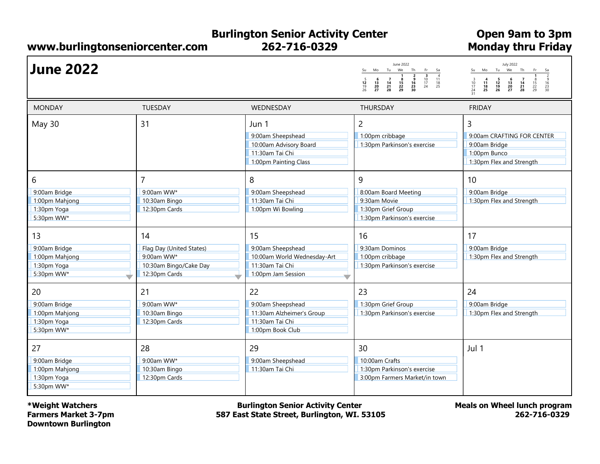## Burlington Senior Activity Center 262-716-0329

www.burlingtonseniorcenter.com Monday thru Friday

Open 9am to 3pm

| <b>June 2022</b>                                                   |                                                                                         |                                                                                                  | June 2022<br>Su Mo Tu We Th<br>Fr.<br>Sa<br>$\frac{3}{10}$<br>$\frac{17}{24}$<br>$\begin{array}{c} 11 \\ 18 \\ 25 \end{array}$<br>6<br>$\frac{12}{19}$<br>26<br>$\frac{13}{20}$<br>20<br>28 | <b>July 2022</b><br>Su Mo Tu We Th<br>Fr<br>Sa<br>$\frac{2}{9}$<br>$\frac{16}{23}$<br>$\frac{3}{10}$<br>$\frac{17}{24}$<br>$\frac{24}{31}$<br>$\begin{array}{c} 6 \\ 13 \\ 20 \\ 27 \end{array}$<br>$\begin{array}{c} 4 \\ 11 \\ 18 \\ 25 \end{array}$<br>$\begin{array}{c} 5 \\ 12 \\ 19 \\ 26 \end{array}$<br>$\begin{array}{c}7\\14\\21\\28\end{array}$<br>$\frac{15}{22}$<br>22 |
|--------------------------------------------------------------------|-----------------------------------------------------------------------------------------|--------------------------------------------------------------------------------------------------|---------------------------------------------------------------------------------------------------------------------------------------------------------------------------------------------|-------------------------------------------------------------------------------------------------------------------------------------------------------------------------------------------------------------------------------------------------------------------------------------------------------------------------------------------------------------------------------------|
| <b>MONDAY</b>                                                      | <b>TUESDAY</b>                                                                          | WEDNESDAY                                                                                        | <b>THURSDAY</b>                                                                                                                                                                             | <b>FRIDAY</b>                                                                                                                                                                                                                                                                                                                                                                       |
| May 30                                                             | 31                                                                                      | Jun 1<br>9:00am Sheepshead<br>10:00am Advisory Board<br>11:30am Tai Chi<br>1:00pm Painting Class | $\overline{c}$<br>1:00pm cribbage<br>1:30pm Parkinson's exercise                                                                                                                            | $\overline{3}$<br>9:00am CRAFTING FOR CENTER<br>9:00am Bridge<br>1:00pm Bunco<br>1:30pm Flex and Strength                                                                                                                                                                                                                                                                           |
| 6<br>9:00am Bridge<br>1:00pm Mahjong<br>1:30pm Yoga<br>5:30pm WW*  | 7<br>9:00am WW*<br>10:30am Bingo<br>12:30pm Cards                                       | 8<br>9:00am Sheepshead<br>11:30am Tai Chi<br>1:00pm Wi Bowling                                   | 9<br>8:00am Board Meeting<br>9:30am Movie<br>1:30pm Grief Group<br>1:30pm Parkinson's exercise                                                                                              | 10<br>9:00am Bridge<br>1:30pm Flex and Strength                                                                                                                                                                                                                                                                                                                                     |
| 13<br>9:00am Bridge<br>1:00pm Mahjong<br>1:30pm Yoga<br>5:30pm WW* | 14<br>Flag Day (United States)<br>9:00am WW*<br>10:30am Bingo/Cake Day<br>12:30pm Cards | 15<br>9:00am Sheepshead<br>10:00am World Wednesday-Art<br>11:30am Tai Chi<br>1:00pm Jam Session  | 16<br>9:30am Dominos<br>1:00pm cribbage<br>1:30pm Parkinson's exercise                                                                                                                      | 17<br>9:00am Bridge<br>1:30pm Flex and Strength                                                                                                                                                                                                                                                                                                                                     |
| 20<br>9:00am Bridge<br>1:00pm Mahjong<br>1:30pm Yoga<br>5:30pm WW* | 21<br>9:00am WW*<br>10:30am Bingo<br>12:30pm Cards                                      | 22<br>9:00am Sheepshead<br>11:30am Alzheimer's Group<br>11:30am Tai Chi<br>1:00pm Book Club      | 23<br>1:30pm Grief Group<br>1:30pm Parkinson's exercise                                                                                                                                     | 24<br>9:00am Bridge<br>1:30pm Flex and Strength                                                                                                                                                                                                                                                                                                                                     |
| 27<br>9:00am Bridge<br>1:00pm Mahjong<br>1:30pm Yoga<br>5:30pm WW* | 28<br>9:00am WW*<br>10:30am Bingo<br>12:30pm Cards                                      | 29<br>9:00am Sheepshead<br>11:30am Tai Chi                                                       | 30<br>10:00am Crafts<br>1:30pm Parkinson's exercise<br>3:00pm Farmers Market/in town                                                                                                        | Jul 1                                                                                                                                                                                                                                                                                                                                                                               |

\*Weight Watchers Farmers Market 3-7pm Downtown Burlington

Burlington Senior Activity Center 587 East State Street, Burlington, WI. 53105 Meals on Wheel lunch program 262-716-0329